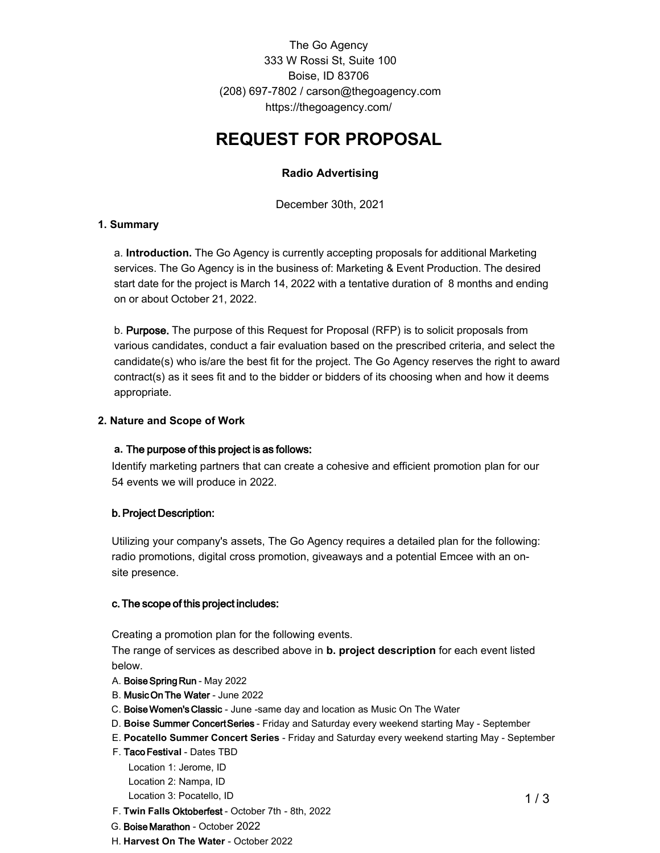The Go Agency 333 W Rossi St, Suite 100 Boise, ID 83706 (208) 697-7802 / carson@thegoagency.com https://thegoagency.com/

# **REQUEST FOR PROPOSAL**

# **Radio Advertising**

December 30th, 2021

#### **1. Summary**

a. **Introduction.** The Go Agency is currently accepting proposals for additional Marketing services. The Go Agency is in the business of: Marketing & Event Production. The desired start date for the project is March 14, 2022 with a tentative duration of 8 months and ending on or about October 21, 2022.

b. Purpose. The purpose of this Request for Proposal (RFP) is to solicit proposals from various candidates, conduct a fair evaluation based on the prescribed criteria, and select the candidate(s) who is/are the best fit for the project. The Go Agency reserves the right to award contract(s) as it sees fit and to the bidder or bidders of its choosing when and how it deems appropriate.

## **2. Nature and Scope of Work**

#### **a.** The purpose of this project is as follows:

Identify marketing partners that can create a cohesive and efficient promotion plan for our 54 events we will produce in 2022.

# b. Project Description:

Utilizing your company's assets, The Go Agency requires a detailed plan for the following: radio promotions, digital cross promotion, giveaways and a potential Emcee with an onsite presence.

#### c. The scope of this project includes:

Creating a promotion plan for the following events.

The range of services as described above in **b. project description** for each event listed below.

- A. Boise Spring Run May 2022
- B. Music On The Water June 2022
- C. Boise Women's Classic June -same day and location as Music On The Water
- D. **Boise** Summer Concert Series Friday and Saturday every weekend starting May September
- E. **Pocatello Summer Concert Series** Friday and Saturday every weekend starting May September
- F. Taco Fest**ival** Dates TBD

Location 1: Jerome, ID Location 2: Nampa, ID Location 3: Pocatello, ID

- F. **Twin Falls** Oktoberfest October 7th 8th, 2022
- G. Boise Marathon October 2022
- H. **Harvest On The Water** October 2022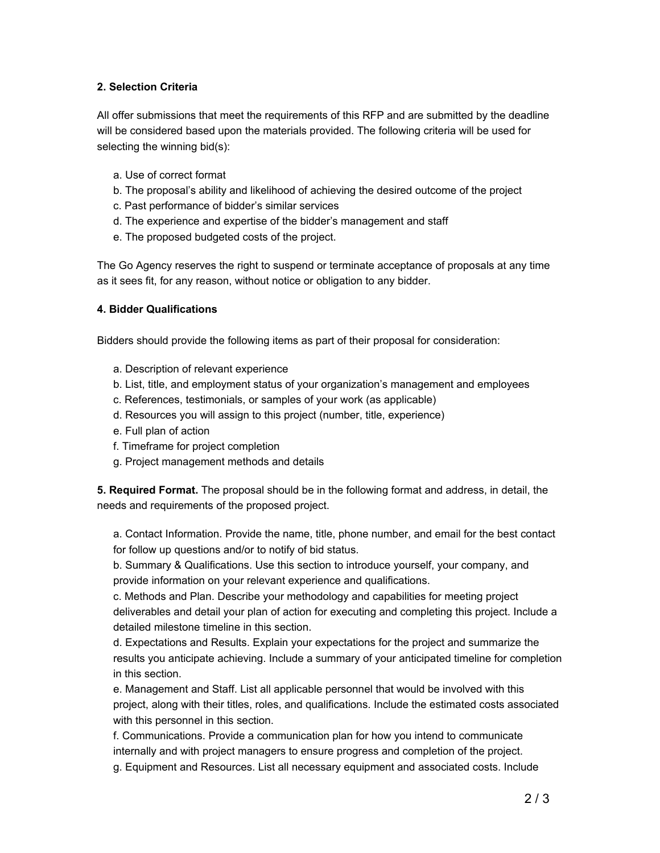## **2. Selection Criteria**

All offer submissions that meet the requirements of this RFP and are submitted by the deadline will be considered based upon the materials provided. The following criteria will be used for selecting the winning bid(s):

- a. Use of correct format
- b. The proposal's ability and likelihood of achieving the desired outcome of the project
- c. Past performance of bidder's similar services
- d. The experience and expertise of the bidder's management and staff
- e. The proposed budgeted costs of the project.

The Go Agency reserves the right to suspend or terminate acceptance of proposals at any time as it sees fit, for any reason, without notice or obligation to any bidder.

#### **4. Bidder Qualifications**

Bidders should provide the following items as part of their proposal for consideration:

- a. Description of relevant experience
- b. List, title, and employment status of your organization's management and employees
- c. References, testimonials, or samples of your work (as applicable)
- d. Resources you will assign to this project (number, title, experience)
- e. Full plan of action
- f. Timeframe for project completion
- g. Project management methods and details

**5. Required Format.** The proposal should be in the following format and address, in detail, the needs and requirements of the proposed project.

a. Contact Information. Provide the name, title, phone number, and email for the best contact for follow up questions and/or to notify of bid status.

b. Summary & Qualifications. Use this section to introduce yourself, your company, and provide information on your relevant experience and qualifications.

c. Methods and Plan. Describe your methodology and capabilities for meeting project deliverables and detail your plan of action for executing and completing this project. Include a detailed milestone timeline in this section.

d. Expectations and Results. Explain your expectations for the project and summarize the results you anticipate achieving. Include a summary of your anticipated timeline for completion in this section.

e. Management and Staff. List all applicable personnel that would be involved with this project, along with their titles, roles, and qualifications. Include the estimated costs associated with this personnel in this section.

f. Communications. Provide a communication plan for how you intend to communicate internally and with project managers to ensure progress and completion of the project.

g. Equipment and Resources. List all necessary equipment and associated costs. Include